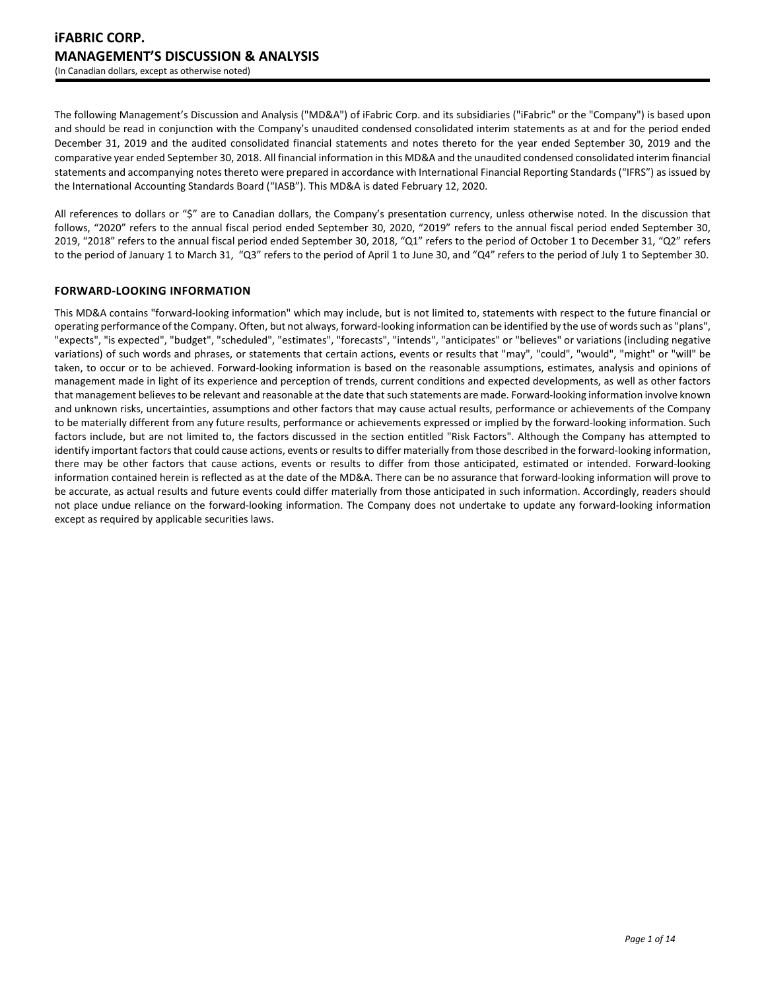The following Management's Discussion and Analysis ("MD&A") of iFabric Corp. and its subsidiaries ("iFabric" or the "Company") is based upon and should be read in conjunction with the Company's unaudited condensed consolidated interim statements as at and for the period ended December 31, 2019 and the audited consolidated financial statements and notes thereto for the year ended September 30, 2019 and the comparative year ended September 30, 2018. All financial information in this MD&A and the unaudited condensed consolidated interim financial statements and accompanying notes thereto were prepared in accordance with International Financial Reporting Standards ("IFRS") as issued by the International Accounting Standards Board ("IASB"). This MD&A is dated February 12, 2020.

All references to dollars or "\$" are to Canadian dollars, the Company's presentation currency, unless otherwise noted. In the discussion that follows, "2020" refers to the annual fiscal period ended September 30, 2020, "2019" refers to the annual fiscal period ended September 30, 2019, "2018" refers to the annual fiscal period ended September 30, 2018, "Q1" refers to the period of October 1 to December 31, "Q2" refers to the period of January 1 to March 31, "Q3" refers to the period of April 1 to June 30, and "Q4" refers to the period of July 1 to September 30.

### **FORWARD-LOOKING INFORMATION**

This MD&A contains "forward-looking information" which may include, but is not limited to, statements with respect to the future financial or operating performance of the Company. Often, but not always, forward-looking information can be identified by the use of words such as "plans", "expects", "is expected", "budget", "scheduled", "estimates", "forecasts", "intends", "anticipates" or "believes" or variations (including negative variations) of such words and phrases, or statements that certain actions, events or results that "may", "could", "would", "might" or "will" be taken, to occur or to be achieved. Forward-looking information is based on the reasonable assumptions, estimates, analysis and opinions of management made in light of its experience and perception of trends, current conditions and expected developments, as well as other factors that management believes to be relevant and reasonable at the date that such statements are made. Forward-looking information involve known and unknown risks, uncertainties, assumptions and other factors that may cause actual results, performance or achievements of the Company to be materially different from any future results, performance or achievements expressed or implied by the forward-looking information. Such factors include, but are not limited to, the factors discussed in the section entitled "Risk Factors". Although the Company has attempted to identify important factors that could cause actions, events or results to differ materially from those described in the forward-looking information, there may be other factors that cause actions, events or results to differ from those anticipated, estimated or intended. Forward-looking information contained herein is reflected as at the date of the MD&A. There can be no assurance that forward-looking information will prove to be accurate, as actual results and future events could differ materially from those anticipated in such information. Accordingly, readers should not place undue reliance on the forward-looking information. The Company does not undertake to update any forward-looking information except as required by applicable securities laws.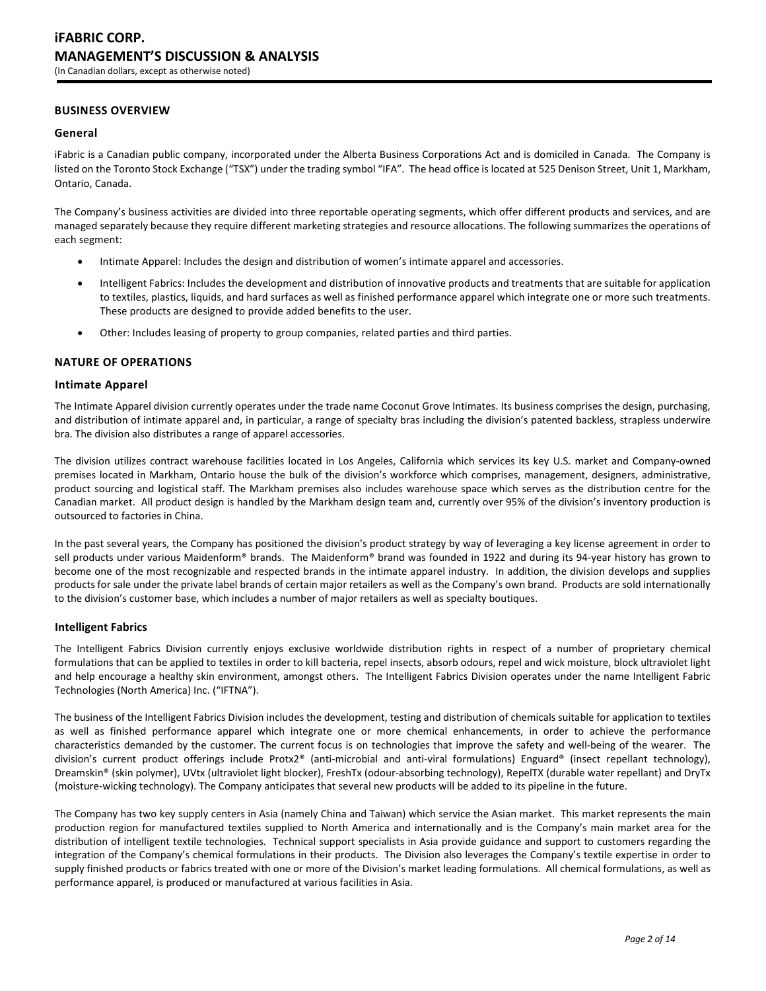### **BUSINESS OVERVIEW**

### **General**

iFabric is a Canadian public company, incorporated under the Alberta Business Corporations Act and is domiciled in Canada. The Company is listed on the Toronto Stock Exchange ("TSX") under the trading symbol "IFA". The head office is located at 525 Denison Street, Unit 1, Markham, Ontario, Canada.

The Company's business activities are divided into three reportable operating segments, which offer different products and services, and are managed separately because they require different marketing strategies and resource allocations. The following summarizes the operations of each segment:

- Intimate Apparel: Includes the design and distribution of women's intimate apparel and accessories.
- Intelligent Fabrics: Includes the development and distribution of innovative products and treatments that are suitable for application to textiles, plastics, liquids, and hard surfaces as well as finished performance apparel which integrate one or more such treatments. These products are designed to provide added benefits to the user.
- Other: Includes leasing of property to group companies, related parties and third parties.

### **NATURE OF OPERATIONS**

### **Intimate Apparel**

The Intimate Apparel division currently operates under the trade name Coconut Grove Intimates. Its business comprises the design, purchasing, and distribution of intimate apparel and, in particular, a range of specialty bras including the division's patented backless, strapless underwire bra. The division also distributes a range of apparel accessories.

The division utilizes contract warehouse facilities located in Los Angeles, California which services its key U.S. market and Company-owned premises located in Markham, Ontario house the bulk of the division's workforce which comprises, management, designers, administrative, product sourcing and logistical staff. The Markham premises also includes warehouse space which serves as the distribution centre for the Canadian market. All product design is handled by the Markham design team and, currently over 95% of the division's inventory production is outsourced to factories in China.

In the past several years, the Company has positioned the division's product strategy by way of leveraging a key license agreement in order to sell products under various Maidenform® brands. The Maidenform® brand was founded in 1922 and during its 94-year history has grown to become one of the most recognizable and respected brands in the intimate apparel industry. In addition, the division develops and supplies products for sale under the private label brands of certain major retailers as well as the Company's own brand. Products are sold internationally to the division's customer base, which includes a number of major retailers as well as specialty boutiques.

### **Intelligent Fabrics**

The Intelligent Fabrics Division currently enjoys exclusive worldwide distribution rights in respect of a number of proprietary chemical formulations that can be applied to textiles in order to kill bacteria, repel insects, absorb odours, repel and wick moisture, block ultraviolet light and help encourage a healthy skin environment, amongst others. The Intelligent Fabrics Division operates under the name Intelligent Fabric Technologies (North America) Inc. ("IFTNA").

The business of the Intelligent Fabrics Division includes the development, testing and distribution of chemicals suitable for application to textiles as well as finished performance apparel which integrate one or more chemical enhancements, in order to achieve the performance characteristics demanded by the customer. The current focus is on technologies that improve the safety and well-being of the wearer. The division's current product offerings include Protx2® (anti-microbial and anti-viral formulations) Enguard® (insect repellant technology), Dreamskin® (skin polymer), UVtx (ultraviolet light blocker), FreshTx (odour-absorbing technology), RepelTX (durable water repellant) and DryTx (moisture-wicking technology). The Company anticipates that several new products will be added to its pipeline in the future.

The Company has two key supply centers in Asia (namely China and Taiwan) which service the Asian market. This market represents the main production region for manufactured textiles supplied to North America and internationally and is the Company's main market area for the distribution of intelligent textile technologies. Technical support specialists in Asia provide guidance and support to customers regarding the integration of the Company's chemical formulations in their products. The Division also leverages the Company's textile expertise in order to supply finished products or fabrics treated with one or more of the Division's market leading formulations. All chemical formulations, as well as performance apparel, is produced or manufactured at various facilities in Asia.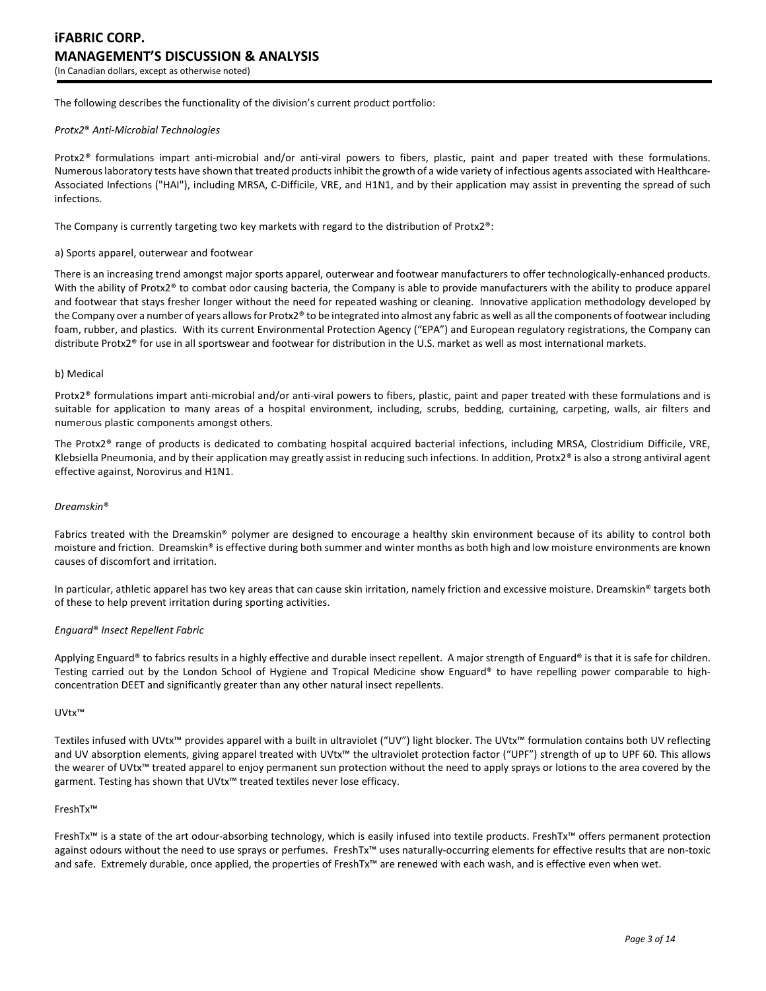The following describes the functionality of the division's current product portfolio:

#### *Protx2*® *Anti-Microbial Technologies*

Protx2*®* formulations impart anti-microbial and/or anti-viral powers to fibers, plastic, paint and paper treated with these formulations. Numerous laboratory tests have shown that treated products inhibit the growth of a wide variety of infectious agents associated with Healthcare-Associated Infections ("HAI"), including MRSA, C-Difficile, VRE, and H1N1, and by their application may assist in preventing the spread of such infections.

The Company is currently targeting two key markets with regard to the distribution of Protx2®:

#### a) Sports apparel, outerwear and footwear

There is an increasing trend amongst major sports apparel, outerwear and footwear manufacturers to offer technologically-enhanced products. With the ability of Protx2® to combat odor causing bacteria, the Company is able to provide manufacturers with the ability to produce apparel and footwear that stays fresher longer without the need for repeated washing or cleaning. Innovative application methodology developed by the Company over a number of years allows for Protx2® to be integrated into almost any fabric as well as all the components of footwear including foam, rubber, and plastics. With its current Environmental Protection Agency ("EPA") and European regulatory registrations, the Company can distribute Protx2® for use in all sportswear and footwear for distribution in the U.S. market as well as most international markets.

#### b) Medical

Protx2® formulations impart anti-microbial and/or anti-viral powers to fibers, plastic, paint and paper treated with these formulations and is suitable for application to many areas of a hospital environment, including, scrubs, bedding, curtaining, carpeting, walls, air filters and numerous plastic components amongst others.

The Protx2® range of products is dedicated to combating hospital acquired bacterial infections, including MRSA, Clostridium Difficile, VRE, Klebsiella Pneumonia, and by their application may greatly assist in reducing such infections. In addition, Protx2® is also a strong antiviral agent effective against, Norovirus and H1N1.

#### *Dreamskin*®

Fabrics treated with the Dreamskin® polymer are designed to encourage a healthy skin environment because of its ability to control both moisture and friction. Dreamskin® is effective during both summer and winter months as both high and low moisture environments are known causes of discomfort and irritation.

In particular, athletic apparel has two key areas that can cause skin irritation, namely friction and excessive moisture. Dreamskin® targets both of these to help prevent irritation during sporting activities.

### *Enguard*® *Insect Repellent Fabric*

Applying Enguard® to fabrics results in a highly effective and durable insect repellent. A major strength of Enguard® is that it is safe for children. Testing carried out by the London School of Hygiene and Tropical Medicine show Enguard® to have repelling power comparable to highconcentration DEET and significantly greater than any other natural insect repellents.

#### UVtx™

Textiles infused with UVtx™ provides apparel with a built in ultraviolet ("UV") light blocker. The UVtx™ formulation contains both UV reflecting and UV absorption elements, giving apparel treated with UVtx™ the ultraviolet protection factor ("UPF") strength of up to UPF 60. This allows the wearer of UVtx™ treated apparel to enjoy permanent sun protection without the need to apply sprays or lotions to the area covered by the garment. Testing has shown that UVtx™ treated textiles never lose efficacy.

#### FreshTx™

FreshTx™ is a state of the art odour-absorbing technology, which is easily infused into textile products. FreshTx™ offers permanent protection against odours without the need to use sprays or perfumes. FreshTx™ uses naturally-occurring elements for effective results that are non-toxic and safe. Extremely durable, once applied, the properties of FreshTx™ are renewed with each wash, and is effective even when wet.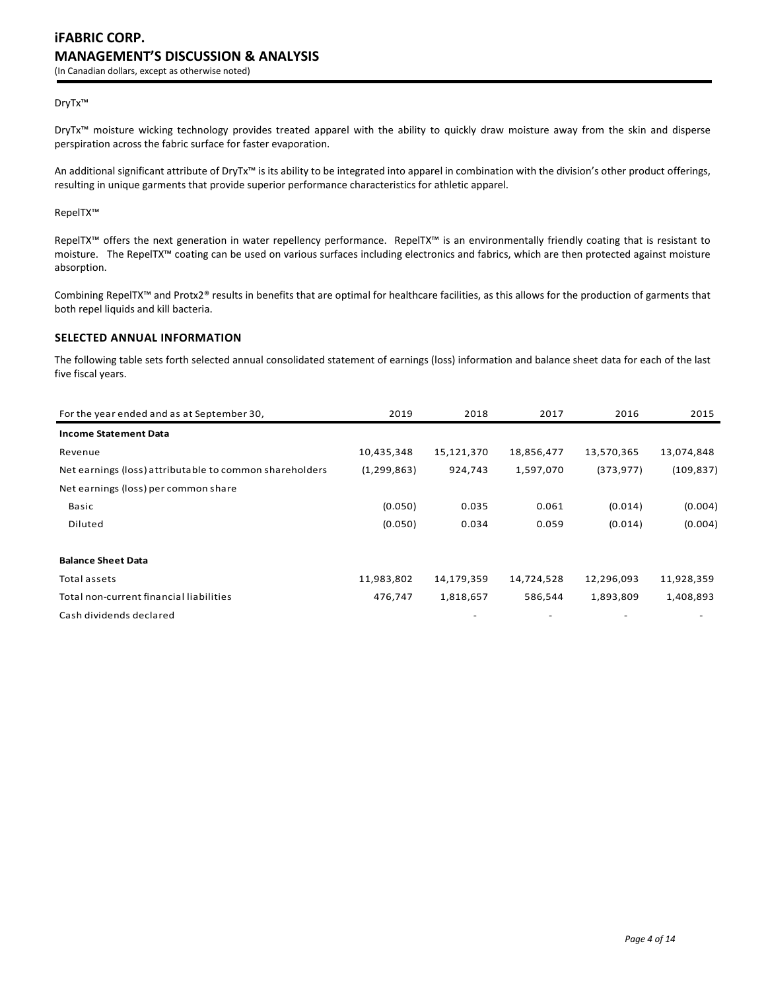### DryTx™

DryTx™ moisture wicking technology provides treated apparel with the ability to quickly draw moisture away from the skin and disperse perspiration across the fabric surface for faster evaporation.

An additional significant attribute of DryTx™ is its ability to be integrated into apparel in combination with the division's other product offerings, resulting in unique garments that provide superior performance characteristics for athletic apparel.

RepelTX™

RepelTX™ offers the next generation in water repellency performance. RepelTX™ is an environmentally friendly coating that is resistant to moisture. The RepelTX™ coating can be used on various surfaces including electronics and fabrics, which are then protected against moisture absorption.

Combining RepelTX™ and Protx2® results in benefits that are optimal for healthcare facilities, as this allows for the production of garments that both repel liquids and kill bacteria.

### **SELECTED ANNUAL INFORMATION**

The following table sets forth selected annual consolidated statement of earnings (loss) information and balance sheet data for each of the last five fiscal years.

| For the year ended and as at September 30,              | 2019          | 2018       | 2017       | 2016       | 2015       |
|---------------------------------------------------------|---------------|------------|------------|------------|------------|
| <b>Income Statement Data</b>                            |               |            |            |            |            |
| Revenue                                                 | 10,435,348    | 15,121,370 | 18,856,477 | 13,570,365 | 13,074,848 |
| Net earnings (loss) attributable to common shareholders | (1, 299, 863) | 924,743    | 1,597,070  | (373, 977) | (109, 837) |
| Net earnings (loss) per common share                    |               |            |            |            |            |
| Basic                                                   | (0.050)       | 0.035      | 0.061      | (0.014)    | (0.004)    |
| Diluted                                                 | (0.050)       | 0.034      | 0.059      | (0.014)    | (0.004)    |
| <b>Balance Sheet Data</b>                               |               |            |            |            |            |
| Total assets                                            | 11,983,802    | 14,179,359 | 14,724,528 | 12,296,093 | 11,928,359 |
| Total non-current financial liabilities                 | 476,747       | 1,818,657  | 586,544    | 1,893,809  | 1,408,893  |
| Cash dividends declared                                 |               |            |            |            |            |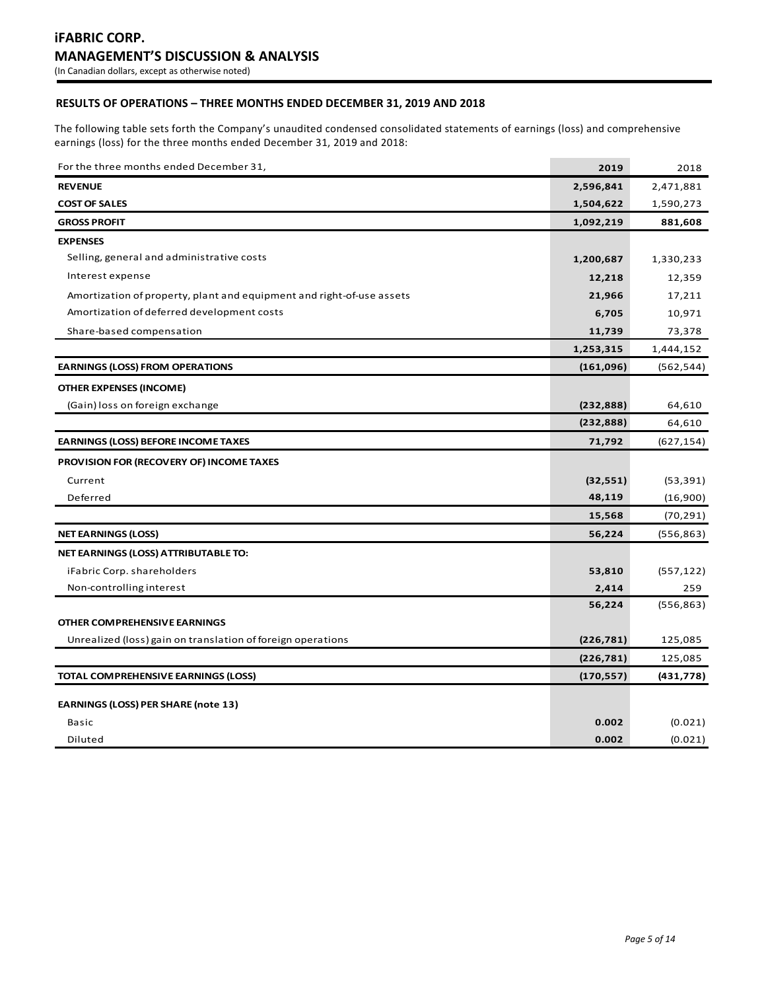## **RESULTS OF OPERATIONS – THREE MONTHS ENDED DECEMBER 31, 2019 AND 2018**

The following table sets forth the Company's unaudited condensed consolidated statements of earnings (loss) and comprehensive earnings (loss) for the three months ended December 31, 2019 and 2018:

| For the three months ended December 31,                               | 2019       | 2018       |
|-----------------------------------------------------------------------|------------|------------|
| <b>REVENUE</b>                                                        | 2,596,841  | 2,471,881  |
| <b>COST OF SALES</b>                                                  | 1,504,622  | 1,590,273  |
| <b>GROSS PROFIT</b>                                                   | 1,092,219  | 881,608    |
| <b>EXPENSES</b>                                                       |            |            |
| Selling, general and administrative costs                             | 1,200,687  | 1,330,233  |
| Interest expense                                                      | 12,218     | 12,359     |
| Amortization of property, plant and equipment and right-of-use assets | 21,966     | 17,211     |
| Amortization of deferred development costs                            | 6,705      | 10,971     |
| Share-based compensation                                              | 11,739     | 73,378     |
|                                                                       | 1,253,315  | 1,444,152  |
| <b>EARNINGS (LOSS) FROM OPERATIONS</b>                                | (161,096)  | (562, 544) |
| <b>OTHER EXPENSES (INCOME)</b>                                        |            |            |
| (Gain) loss on foreign exchange                                       | (232, 888) | 64,610     |
|                                                                       | (232, 888) | 64,610     |
| <b>EARNINGS (LOSS) BEFORE INCOME TAXES</b>                            | 71,792     | (627, 154) |
| <b>PROVISION FOR (RECOVERY OF) INCOME TAXES</b>                       |            |            |
| Current                                                               | (32, 551)  | (53, 391)  |
| Deferred                                                              | 48,119     | (16,900)   |
|                                                                       | 15,568     | (70, 291)  |
| <b>NET EARNINGS (LOSS)</b>                                            | 56,224     | (556,863)  |
| NET EARNINGS (LOSS) ATTRIBUTABLE TO:                                  |            |            |
| iFabric Corp. shareholders                                            | 53,810     | (557, 122) |
| Non-controlling interest                                              | 2,414      | 259        |
|                                                                       | 56,224     | (556, 863) |
| OTHER COMPREHENSIVE EARNINGS                                          |            |            |
| Unrealized (loss) gain on translation of foreign operations           | (226, 781) | 125,085    |
|                                                                       | (226, 781) | 125,085    |
| TOTAL COMPREHENSIVE EARNINGS (LOSS)                                   | (170, 557) | (431, 778) |
| <b>EARNINGS (LOSS) PER SHARE (note 13)</b>                            |            |            |
| <b>Basic</b>                                                          | 0.002      | (0.021)    |
| Diluted                                                               | 0.002      | (0.021)    |
|                                                                       |            |            |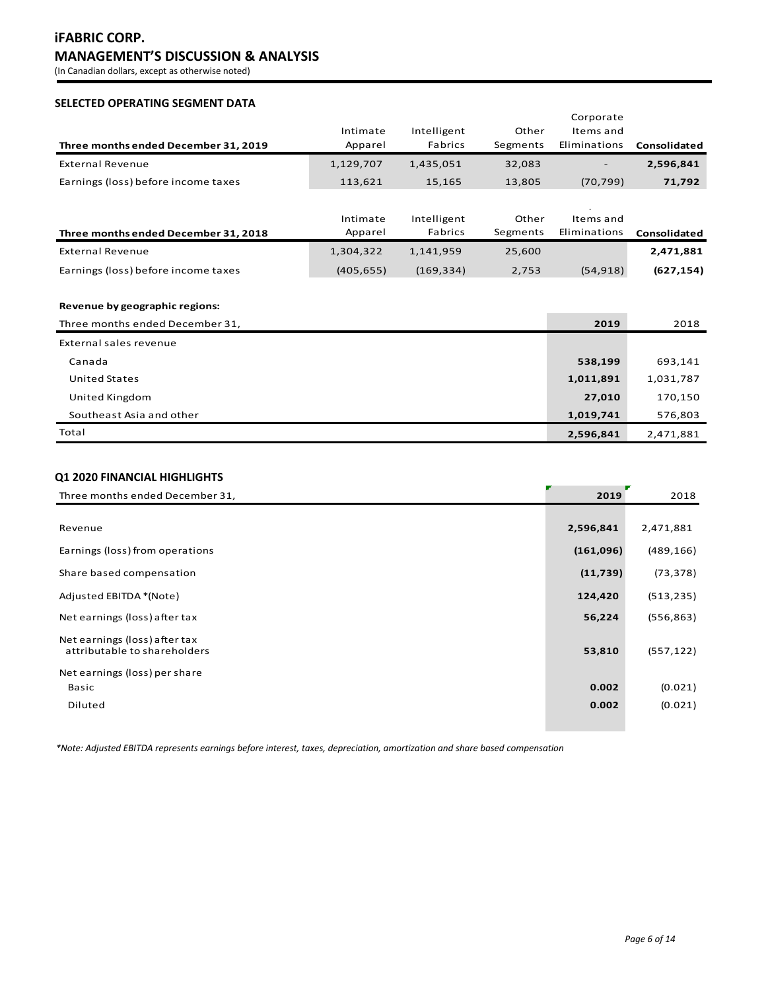# **iFABRIC CORP. MANAGEMENT'S DISCUSSION & ANALYSIS**

(In Canadian dollars, except as otherwise noted)

## **SELECTED OPERATING SEGMENT DATA**

| Three months ended December 31, 2019                              | Intimate<br>Apparel | Intelligent<br>Fabrics | Other<br>Segments | Corporate<br>Items and<br>Eliminations | Consolidated |
|-------------------------------------------------------------------|---------------------|------------------------|-------------------|----------------------------------------|--------------|
| <b>External Revenue</b>                                           | 1,129,707           | 1,435,051              | 32,083            |                                        | 2,596,841    |
| Earnings (loss) before income taxes                               | 113,621             | 15,165                 | 13,805            | (70, 799)                              | 71,792       |
| Three months ended December 31, 2018                              | Intimate<br>Apparel | Intelligent<br>Fabrics | Other<br>Segments | Items and<br>Eliminations              | Consolidated |
| <b>External Revenue</b>                                           | 1,304,322           | 1,141,959              | 25,600            |                                        | 2,471,881    |
| Earnings (loss) before income taxes                               | (405, 655)          | (169, 334)             | 2,753             | (54, 918)                              | (627, 154)   |
| Revenue by geographic regions:<br>Three months ended December 31, |                     |                        |                   | 2019                                   | 2018         |
| External sales revenue                                            |                     |                        |                   |                                        |              |
| Canada                                                            |                     |                        |                   | 538,199                                | 693,141      |
| <b>United States</b>                                              |                     |                        |                   | 1,011,891                              | 1,031,787    |
| United Kingdom                                                    |                     |                        |                   | 27,010                                 | 170,150      |
| Southeast Asia and other                                          |                     |                        |                   | 1,019,741                              | 576,803      |
| Total                                                             |                     |                        |                   | 2,596,841                              | 2,471,881    |

## **Q1 2020 FINANCIAL HIGHLIGHTS**

| Three months ended December 31,                               | 2019      | 2018       |
|---------------------------------------------------------------|-----------|------------|
|                                                               |           |            |
| Revenue                                                       | 2,596,841 | 2,471,881  |
| Earnings (loss) from operations                               | (161,096) | (489, 166) |
| Share based compensation                                      | (11, 739) | (73, 378)  |
| Adjusted EBITDA *(Note)                                       | 124,420   | (513, 235) |
| Net earnings (loss) after tax                                 | 56,224    | (556, 863) |
| Net earnings (loss) after tax<br>attributable to shareholders | 53,810    | (557, 122) |
| Net earnings (loss) per share                                 |           |            |
| Basic                                                         | 0.002     | (0.021)    |
| Diluted                                                       | 0.002     | (0.021)    |

*\*Note: Adjusted EBITDA represents earnings before interest, taxes, depreciation, amortization and share based compensation*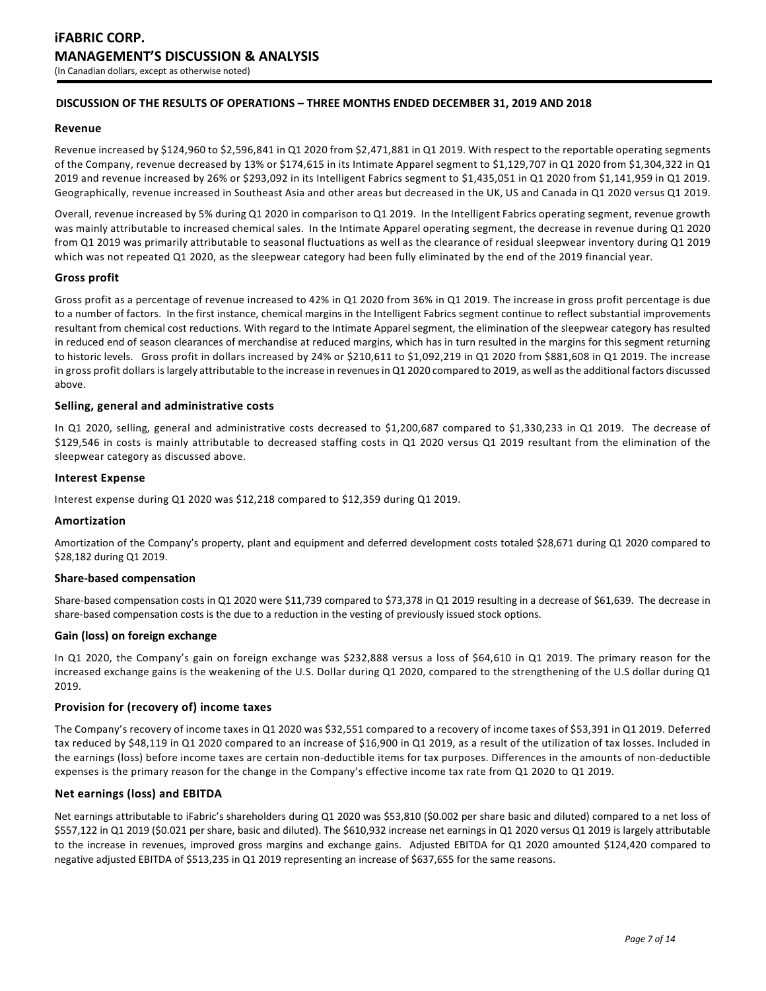### **DISCUSSION OF THE RESULTS OF OPERATIONS – THREE MONTHS ENDED DECEMBER 31, 2019 AND 2018**

### **Revenue**

Revenue increased by \$124,960 to \$2,596,841 in Q1 2020 from \$2,471,881 in Q1 2019. With respect to the reportable operating segments of the Company, revenue decreased by 13% or \$174,615 in its Intimate Apparel segment to \$1,129,707 in Q1 2020 from \$1,304,322 in Q1 2019 and revenue increased by 26% or \$293,092 in its Intelligent Fabrics segment to \$1,435,051 in Q1 2020 from \$1,141,959 in Q1 2019. Geographically, revenue increased in Southeast Asia and other areas but decreased in the UK, US and Canada in Q1 2020 versus Q1 2019.

Overall, revenue increased by 5% during Q1 2020 in comparison to Q1 2019. In the Intelligent Fabrics operating segment, revenue growth was mainly attributable to increased chemical sales. In the Intimate Apparel operating segment, the decrease in revenue during Q1 2020 from Q1 2019 was primarily attributable to seasonal fluctuations as well as the clearance of residual sleepwear inventory during Q1 2019 which was not repeated Q1 2020, as the sleepwear category had been fully eliminated by the end of the 2019 financial year.

### **Gross profit**

Gross profit as a percentage of revenue increased to 42% in Q1 2020 from 36% in Q1 2019. The increase in gross profit percentage is due to a number of factors. In the first instance, chemical margins in the Intelligent Fabrics segment continue to reflect substantial improvements resultant from chemical cost reductions. With regard to the Intimate Apparel segment, the elimination of the sleepwear category has resulted in reduced end of season clearances of merchandise at reduced margins, which has in turn resulted in the margins for this segment returning to historic levels. Gross profit in dollars increased by 24% or \$210,611 to \$1,092,219 in Q1 2020 from \$881,608 in Q1 2019. The increase in gross profit dollars is largely attributable to the increase in revenues in Q1 2020 compared to 2019, as well as the additional factors discussed above.

### **Selling, general and administrative costs**

In Q1 2020, selling, general and administrative costs decreased to \$1,200,687 compared to \$1,330,233 in Q1 2019. The decrease of \$129,546 in costs is mainly attributable to decreased staffing costs in Q1 2020 versus Q1 2019 resultant from the elimination of the sleepwear category as discussed above.

### **Interest Expense**

Interest expense during Q1 2020 was \$12,218 compared to \$12,359 during Q1 2019.

### **Amortization**

Amortization of the Company's property, plant and equipment and deferred development costs totaled \$28,671 during Q1 2020 compared to \$28,182 during Q1 2019.

### **Share-based compensation**

Share-based compensation costs in Q1 2020 were \$11,739 compared to \$73,378 in Q1 2019 resulting in a decrease of \$61,639. The decrease in share-based compensation costs is the due to a reduction in the vesting of previously issued stock options.

### **Gain (loss) on foreign exchange**

In Q1 2020, the Company's gain on foreign exchange was \$232,888 versus a loss of \$64,610 in Q1 2019. The primary reason for the increased exchange gains is the weakening of the U.S. Dollar during Q1 2020, compared to the strengthening of the U.S dollar during Q1 2019.

### **Provision for (recovery of) income taxes**

The Company's recovery of income taxes in Q1 2020 was \$32,551 compared to a recovery of income taxes of \$53,391 in Q1 2019. Deferred tax reduced by \$48,119 in Q1 2020 compared to an increase of \$16,900 in Q1 2019, as a result of the utilization of tax losses. Included in the earnings (loss) before income taxes are certain non-deductible items for tax purposes. Differences in the amounts of non-deductible expenses is the primary reason for the change in the Company's effective income tax rate from Q1 2020 to Q1 2019.

### **Net earnings (loss) and EBITDA**

Net earnings attributable to iFabric's shareholders during Q1 2020 was \$53,810 (\$0.002 per share basic and diluted) compared to a net loss of \$557,122 in Q1 2019 (\$0.021 per share, basic and diluted). The \$610,932 increase net earnings in Q1 2020 versus Q1 2019 is largely attributable to the increase in revenues, improved gross margins and exchange gains. Adjusted EBITDA for Q1 2020 amounted \$124,420 compared to negative adjusted EBITDA of \$513,235 in Q1 2019 representing an increase of \$637,655 for the same reasons.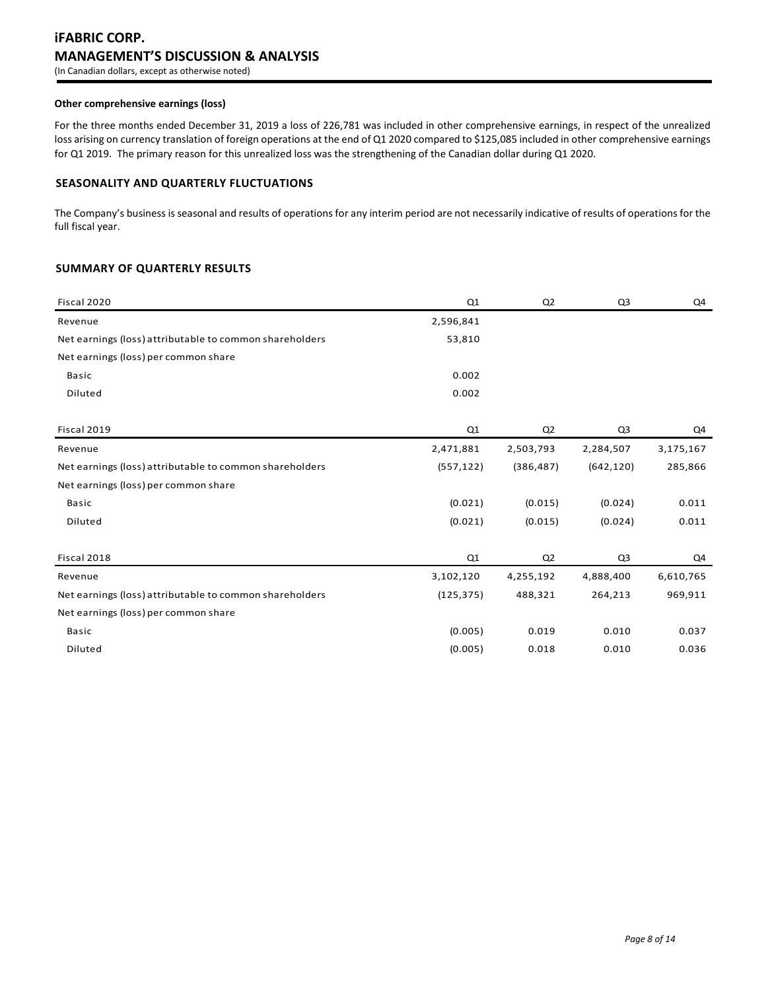## **iFABRIC CORP. MANAGEMENT'S DISCUSSION & ANALYSIS** (In Canadian dollars, except as otherwise noted)

### **Other comprehensive earnings (loss)**

For the three months ended December 31, 2019 a loss of 226,781 was included in other comprehensive earnings, in respect of the unrealized loss arising on currency translation of foreign operations at the end of Q1 2020 compared to \$125,085 included in other comprehensive earnings for Q1 2019. The primary reason for this unrealized loss was the strengthening of the Canadian dollar during Q1 2020.

### **SEASONALITY AND QUARTERLY FLUCTUATIONS**

The Company's business is seasonal and results of operations for any interim period are not necessarily indicative of results of operations for the full fiscal year.

## **SUMMARY OF QUARTERLY RESULTS**

| Fiscal 2020                                             | Q1         | Q <sub>2</sub> | Q <sub>3</sub> | Q4        |
|---------------------------------------------------------|------------|----------------|----------------|-----------|
| Revenue                                                 | 2,596,841  |                |                |           |
| Net earnings (loss) attributable to common shareholders | 53,810     |                |                |           |
| Net earnings (loss) per common share                    |            |                |                |           |
| <b>Basic</b>                                            | 0.002      |                |                |           |
| Diluted                                                 | 0.002      |                |                |           |
|                                                         |            |                |                |           |
| Fiscal 2019                                             | Q1         | Q2             | Q <sub>3</sub> | Q4        |
| Revenue                                                 | 2,471,881  | 2,503,793      | 2,284,507      | 3,175,167 |
| Net earnings (loss) attributable to common shareholders | (557, 122) | (386, 487)     | (642, 120)     | 285,866   |
| Net earnings (loss) per common share                    |            |                |                |           |
| <b>Basic</b>                                            | (0.021)    | (0.015)        | (0.024)        | 0.011     |
| Diluted                                                 | (0.021)    | (0.015)        | (0.024)        | 0.011     |
|                                                         |            |                |                |           |
| Fiscal 2018                                             | Q1         | Q <sub>2</sub> | Q3             | Q4        |
| Revenue                                                 | 3,102,120  | 4,255,192      | 4,888,400      | 6,610,765 |
| Net earnings (loss) attributable to common shareholders | (125, 375) | 488,321        | 264,213        | 969,911   |
| Net earnings (loss) per common share                    |            |                |                |           |
| <b>Basic</b>                                            | (0.005)    | 0.019          | 0.010          | 0.037     |
| Diluted                                                 | (0.005)    | 0.018          | 0.010          | 0.036     |
|                                                         |            |                |                |           |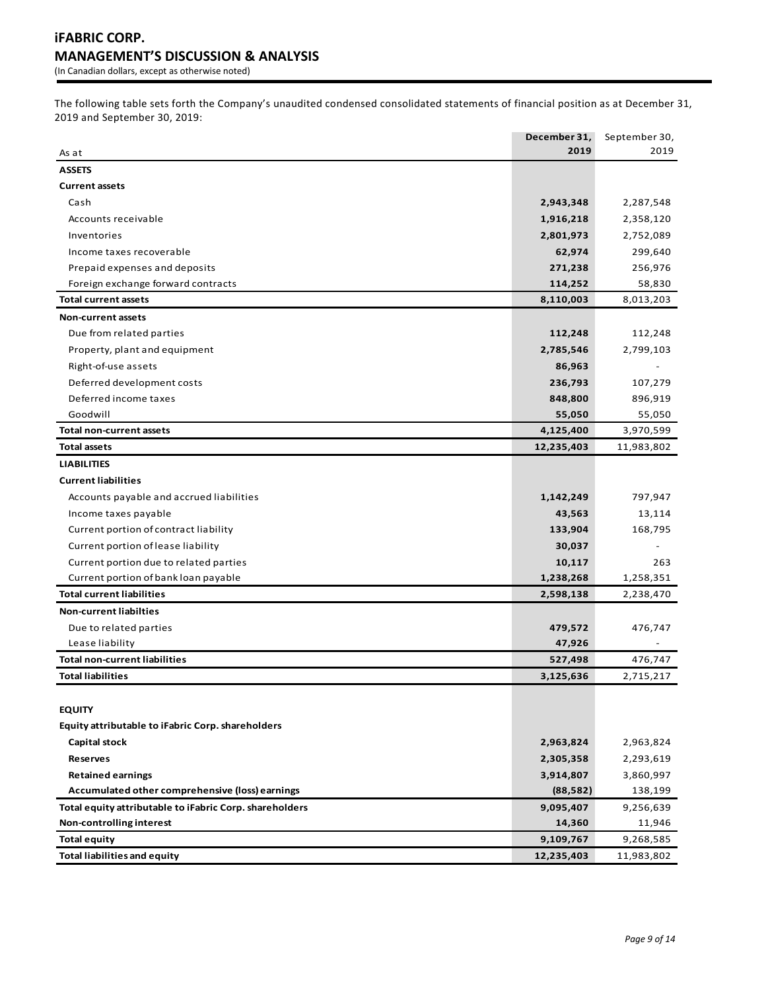The following table sets forth the Company's unaudited condensed consolidated statements of financial position as at December 31, 2019 and September 30, 2019:

|                                                         | December 31, | September 30, |
|---------------------------------------------------------|--------------|---------------|
| As at                                                   | 2019         | 2019          |
| <b>ASSETS</b>                                           |              |               |
| <b>Current assets</b>                                   |              |               |
| Cash                                                    | 2,943,348    | 2,287,548     |
| Accounts receivable                                     | 1,916,218    | 2,358,120     |
| Inventories                                             | 2,801,973    | 2,752,089     |
| Income taxes recoverable                                | 62,974       | 299,640       |
| Prepaid expenses and deposits                           | 271,238      | 256,976       |
| Foreign exchange forward contracts                      | 114,252      | 58,830        |
| <b>Total current assets</b>                             | 8,110,003    | 8,013,203     |
| <b>Non-current assets</b>                               |              |               |
| Due from related parties                                | 112,248      | 112,248       |
| Property, plant and equipment                           | 2,785,546    | 2,799,103     |
| Right-of-use assets                                     | 86,963       |               |
| Deferred development costs                              | 236,793      | 107,279       |
| Deferred income taxes                                   | 848,800      | 896,919       |
| Goodwill                                                | 55,050       | 55,050        |
| <b>Total non-current assets</b>                         | 4,125,400    | 3,970,599     |
| <b>Total assets</b>                                     | 12,235,403   | 11,983,802    |
| <b>LIABILITIES</b>                                      |              |               |
| <b>Current liabilities</b>                              |              |               |
| Accounts payable and accrued liabilities                | 1,142,249    | 797,947       |
| Income taxes payable                                    | 43,563       | 13,114        |
| Current portion of contract liability                   | 133,904      | 168,795       |
| Current portion of lease liability                      | 30,037       |               |
| Current portion due to related parties                  | 10,117       | 263           |
| Current portion of bank loan payable                    | 1,238,268    | 1,258,351     |
| <b>Total current liabilities</b>                        | 2,598,138    | 2,238,470     |
| <b>Non-current liabilties</b>                           |              |               |
| Due to related parties                                  | 479,572      | 476,747       |
| Lease liability                                         | 47,926       |               |
| <b>Total non-current liabilities</b>                    | 527,498      | 476,747       |
| <b>Total liabilities</b>                                | 3,125,636    | 2,715,217     |
|                                                         |              |               |
| <b>EQUITY</b>                                           |              |               |
| Equity attributable to iFabric Corp. shareholders       |              |               |
| <b>Capital stock</b>                                    | 2,963,824    | 2,963,824     |
| <b>Reserves</b>                                         | 2,305,358    | 2,293,619     |
| <b>Retained earnings</b>                                | 3,914,807    | 3,860,997     |
| Accumulated other comprehensive (loss) earnings         | (88, 582)    | 138,199       |
| Total equity attributable to iFabric Corp. shareholders | 9,095,407    | 9,256,639     |
| Non-controlling interest                                | 14,360       | 11,946        |
| <b>Total equity</b>                                     | 9,109,767    | 9,268,585     |
| <b>Total liabilities and equity</b>                     | 12,235,403   | 11,983,802    |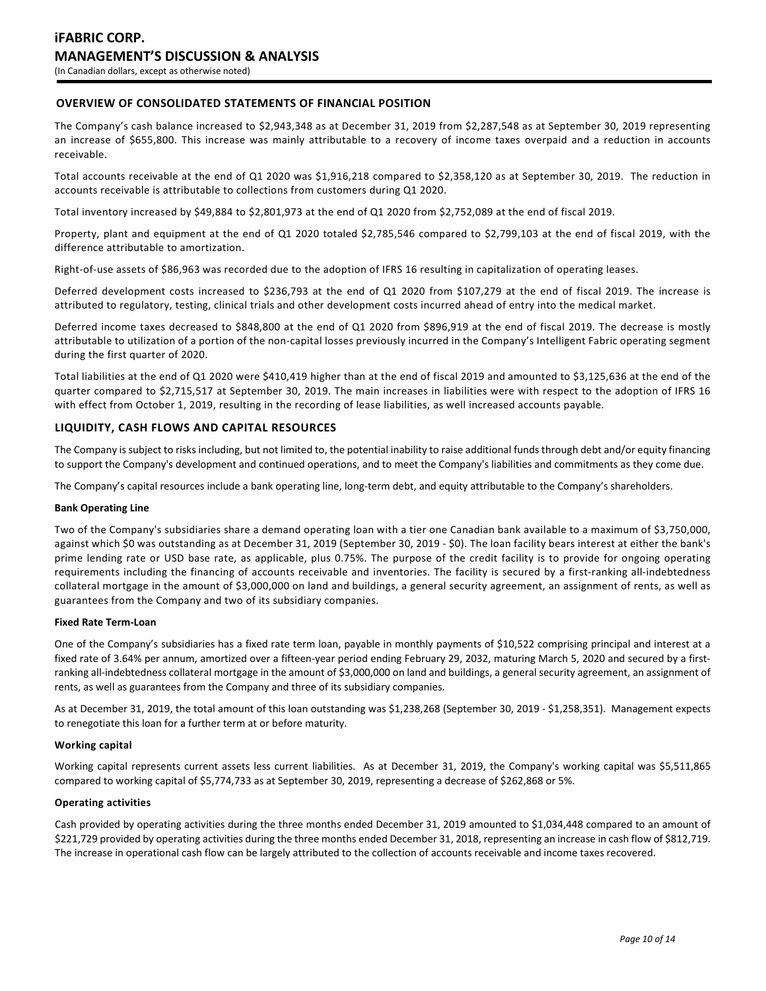## **OVERVIEW OF CONSOLIDATED STATEMENTS OF FINANCIAL POSITION**

The Company's cash balance increased to \$2,943,348 as at December 31, 2019 from \$2,287,548 as at September 30, 2019 representing an increase of \$655,800. This increase was mainly attributable to a recovery of income taxes overpaid and a reduction in accounts receivable.

Total accounts receivable at the end of Q1 2020 was \$1,916,218 compared to \$2,358,120 as at September 30, 2019. The reduction in accounts receivable is attributable to collections from customers during Q1 2020.

Total inventory increased by \$49,884 to \$2,801,973 at the end of Q1 2020 from \$2,752,089 at the end of fiscal 2019.

Property, plant and equipment at the end of Q1 2020 totaled \$2,785,546 compared to \$2,799,103 at the end of fiscal 2019, with the difference attributable to amortization.

Right-of-use assets of \$86,963 was recorded due to the adoption of IFRS 16 resulting in capitalization of operating leases.

Deferred development costs increased to \$236,793 at the end of Q1 2020 from \$107,279 at the end of fiscal 2019. The increase is attributed to regulatory, testing, clinical trials and other development costs incurred ahead of entry into the medical market.

Deferred income taxes decreased to \$848,800 at the end of Q1 2020 from \$896,919 at the end of fiscal 2019. The decrease is mostly attributable to utilization of a portion of the non-capital losses previously incurred in the Company's Intelligent Fabric operating segment during the first quarter of 2020.

Total liabilities at the end of Q1 2020 were \$410,419 higher than at the end of fiscal 2019 and amounted to \$3,125,636 at the end of the quarter compared to \$2,715,517 at September 30, 2019. The main increases in liabilities were with respect to the adoption of IFRS 16 with effect from October 1, 2019, resulting in the recording of lease liabilities, as well increased accounts payable.

### **LIQUIDITY, CASH FLOWS AND CAPITAL RESOURCES**

The Company is subject to risks including, but not limited to, the potential inability to raise additional funds through debt and/or equity financing to support the Company's development and continued operations, and to meet the Company's liabilities and commitments as they come due.

The Company's capital resources include a bank operating line, long-term debt, and equity attributable to the Company's shareholders.

#### **Bank Operating Line**

Two of the Company's subsidiaries share a demand operating loan with a tier one Canadian bank available to a maximum of \$3,750,000, against which \$0 was outstanding as at December 31, 2019 (September 30, 2019 - \$0). The loan facility bears interest at either the bank's prime lending rate or USD base rate, as applicable, plus 0.75%. The purpose of the credit facility is to provide for ongoing operating requirements including the financing of accounts receivable and inventories. The facility is secured by a first-ranking all-indebtedness collateral mortgage in the amount of \$3,000,000 on land and buildings, a general security agreement, an assignment of rents, as well as guarantees from the Company and two of its subsidiary companies.

#### **Fixed Rate Term-Loan**

One of the Company's subsidiaries has a fixed rate term loan, payable in monthly payments of \$10,522 comprising principal and interest at a fixed rate of 3.64% per annum, amortized over a fifteen-year period ending February 29, 2032, maturing March 5, 2020 and secured by a firstranking all-indebtedness collateral mortgage in the amount of \$3,000,000 on land and buildings, a general security agreement, an assignment of rents, as well as guarantees from the Company and three of its subsidiary companies.

As at December 31, 2019, the total amount of this loan outstanding was \$1,238,268 (September 30, 2019 - \$1,258,351). Management expects to renegotiate this loan for a further term at or before maturity.

#### **Working capital**

Working capital represents current assets less current liabilities. As at December 31, 2019, the Company's working capital was \$5,511,865 compared to working capital of \$5,774,733 as at September 30, 2019, representing a decrease of \$262,868 or 5%.

### **Operating activities**

Cash provided by operating activities during the three months ended December 31, 2019 amounted to \$1,034,448 compared to an amount of \$221,729 provided by operating activities during the three months ended December 31, 2018, representing an increase in cash flow of \$812,719. The increase in operational cash flow can be largely attributed to the collection of accounts receivable and income taxes recovered.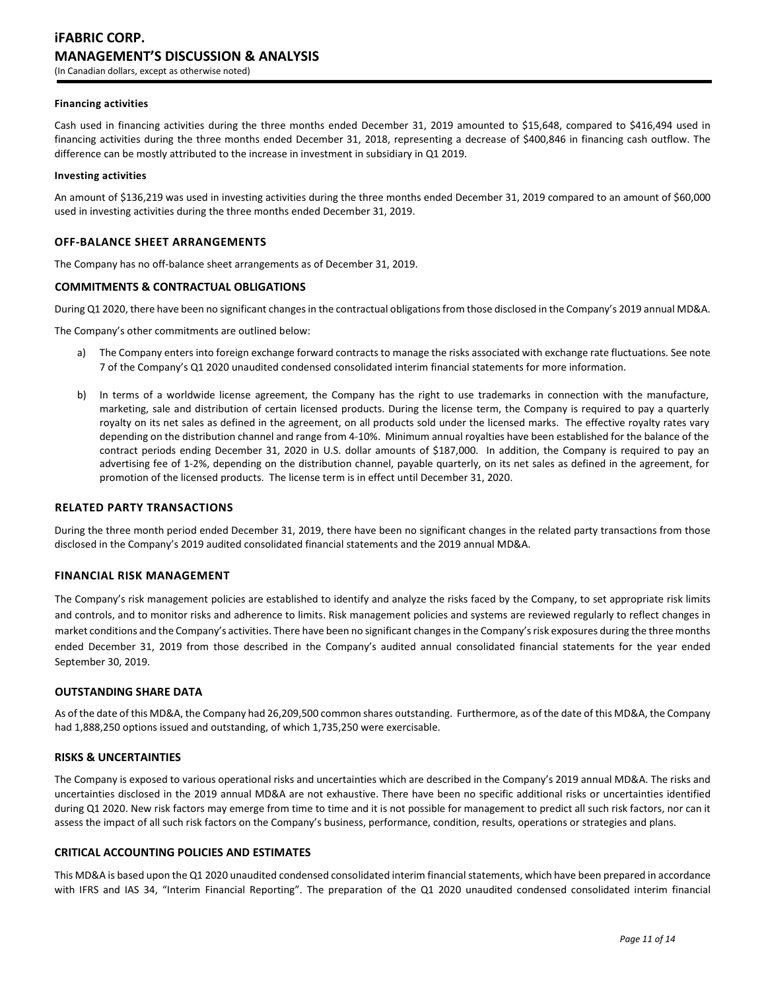#### **Financing activities**

Cash used in financing activities during the three months ended December 31, 2019 amounted to \$15,648, compared to \$416,494 used in financing activities during the three months ended December 31, 2018, representing a decrease of \$400,846 in financing cash outflow. The difference can be mostly attributed to the increase in investment in subsidiary in Q1 2019.

#### **Investing activities**

An amount of \$136,219 was used in investing activities during the three months ended December 31, 2019 compared to an amount of \$60,000 used in investing activities during the three months ended December 31, 2019.

### **OFF-BALANCE SHEET ARRANGEMENTS**

The Company has no off-balance sheet arrangements as of December 31, 2019.

### **COMMITMENTS & CONTRACTUAL OBLIGATIONS**

During Q1 2020, there have been no significant changes in the contractual obligations from those disclosed in the Company's 2019 annual MD&A.

The Company's other commitments are outlined below:

- a) The Company enters into foreign exchange forward contracts to manage the risks associated with exchange rate fluctuations. See note 7 of the Company's Q1 2020 unaudited condensed consolidated interim financial statements for more information.
- b) In terms of a worldwide license agreement, the Company has the right to use trademarks in connection with the manufacture, marketing, sale and distribution of certain licensed products. During the license term, the Company is required to pay a quarterly royalty on its net sales as defined in the agreement, on all products sold under the licensed marks. The effective royalty rates vary depending on the distribution channel and range from 4-10%. Minimum annual royalties have been established for the balance of the contract periods ending December 31, 2020 in U.S. dollar amounts of \$187,000. In addition, the Company is required to pay an advertising fee of 1-2%, depending on the distribution channel, payable quarterly, on its net sales as defined in the agreement, for promotion of the licensed products. The license term is in effect until December 31, 2020.

### **RELATED PARTY TRANSACTIONS**

During the three month period ended December 31, 2019, there have been no significant changes in the related party transactions from those disclosed in the Company's 2019 audited consolidated financial statements and the 2019 annual MD&A.

### **FINANCIAL RISK MANAGEMENT**

The Company's risk management policies are established to identify and analyze the risks faced by the Company, to set appropriate risk limits and controls, and to monitor risks and adherence to limits. Risk management policies and systems are reviewed regularly to reflect changes in market conditions and the Company's activities. There have been no significant changes in the Company's risk exposures during the three months ended December 31, 2019 from those described in the Company's audited annual consolidated financial statements for the year ended September 30, 2019.

### **OUTSTANDING SHARE DATA**

As of the date of this MD&A, the Company had 26,209,500 common shares outstanding. Furthermore, as of the date of this MD&A, the Company had 1,888,250 options issued and outstanding, of which 1,735,250 were exercisable.

### **RISKS & UNCERTAINTIES**

The Company is exposed to various operational risks and uncertainties which are described in the Company's 2019 annual MD&A. The risks and uncertainties disclosed in the 2019 annual MD&A are not exhaustive. There have been no specific additional risks or uncertainties identified during Q1 2020. New risk factors may emerge from time to time and it is not possible for management to predict all such risk factors, nor can it assess the impact of all such risk factors on the Company's business, performance, condition, results, operations or strategies and plans.

### **CRITICAL ACCOUNTING POLICIES AND ESTIMATES**

This MD&A is based upon the Q1 2020 unaudited condensed consolidated interim financial statements, which have been prepared in accordance with IFRS and IAS 34, "Interim Financial Reporting". The preparation of the Q1 2020 unaudited condensed consolidated interim financial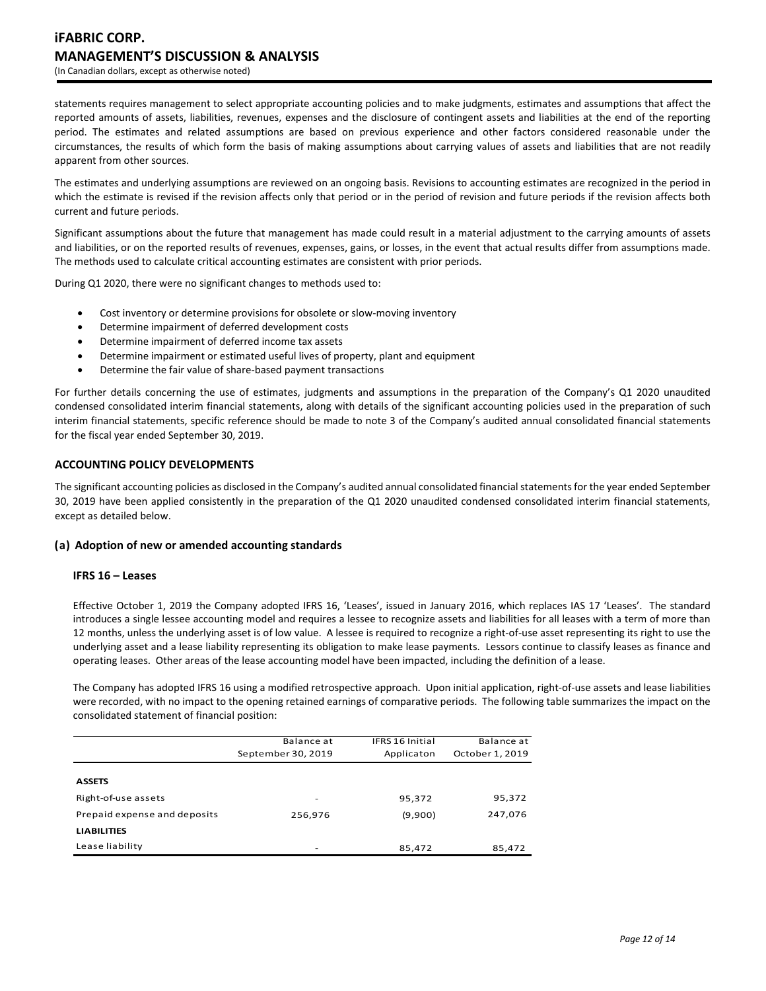statements requires management to select appropriate accounting policies and to make judgments, estimates and assumptions that affect the reported amounts of assets, liabilities, revenues, expenses and the disclosure of contingent assets and liabilities at the end of the reporting period. The estimates and related assumptions are based on previous experience and other factors considered reasonable under the circumstances, the results of which form the basis of making assumptions about carrying values of assets and liabilities that are not readily apparent from other sources.

The estimates and underlying assumptions are reviewed on an ongoing basis. Revisions to accounting estimates are recognized in the period in which the estimate is revised if the revision affects only that period or in the period of revision and future periods if the revision affects both current and future periods.

Significant assumptions about the future that management has made could result in a material adjustment to the carrying amounts of assets and liabilities, or on the reported results of revenues, expenses, gains, or losses, in the event that actual results differ from assumptions made. The methods used to calculate critical accounting estimates are consistent with prior periods.

During Q1 2020, there were no significant changes to methods used to:

- Cost inventory or determine provisions for obsolete or slow-moving inventory
- Determine impairment of deferred development costs
- Determine impairment of deferred income tax assets
- Determine impairment or estimated useful lives of property, plant and equipment
- Determine the fair value of share-based payment transactions

For further details concerning the use of estimates, judgments and assumptions in the preparation of the Company's Q1 2020 unaudited condensed consolidated interim financial statements, along with details of the significant accounting policies used in the preparation of such interim financial statements, specific reference should be made to note 3 of the Company's audited annual consolidated financial statements for the fiscal year ended September 30, 2019.

### **ACCOUNTING POLICY DEVELOPMENTS**

The significant accounting policies as disclosed in the Company's audited annual consolidated financial statements for the year ended September 30, 2019 have been applied consistently in the preparation of the Q1 2020 unaudited condensed consolidated interim financial statements, except as detailed below.

### **(a) Adoption of new or amended accounting standards**

### **IFRS 16 – Leases**

Effective October 1, 2019 the Company adopted IFRS 16, 'Leases', issued in January 2016, which replaces IAS 17 'Leases'. The standard introduces a single lessee accounting model and requires a lessee to recognize assets and liabilities for all leases with a term of more than 12 months, unless the underlying asset is of low value. A lessee is required to recognize a right-of-use asset representing its right to use the underlying asset and a lease liability representing its obligation to make lease payments. Lessors continue to classify leases as finance and operating leases. Other areas of the lease accounting model have been impacted, including the definition of a lease.

The Company has adopted IFRS 16 using a modified retrospective approach. Upon initial application, right-of-use assets and lease liabilities were recorded, with no impact to the opening retained earnings of comparative periods. The following table summarizes the impact on the consolidated statement of financial position:

|                              | Balance at<br>September 30, 2019 | <b>IFRS 16 Initial</b><br>Applicaton | Balance at<br>October 1, 2019 |
|------------------------------|----------------------------------|--------------------------------------|-------------------------------|
| <b>ASSETS</b>                |                                  |                                      |                               |
| Right-of-use assets          | $\overline{\phantom{a}}$         | 95,372                               | 95,372                        |
| Prepaid expense and deposits | 256,976                          | (9,900)                              | 247,076                       |
| <b>LIABILITIES</b>           |                                  |                                      |                               |
| Lease liability              | -                                | 85,472                               | 85,472                        |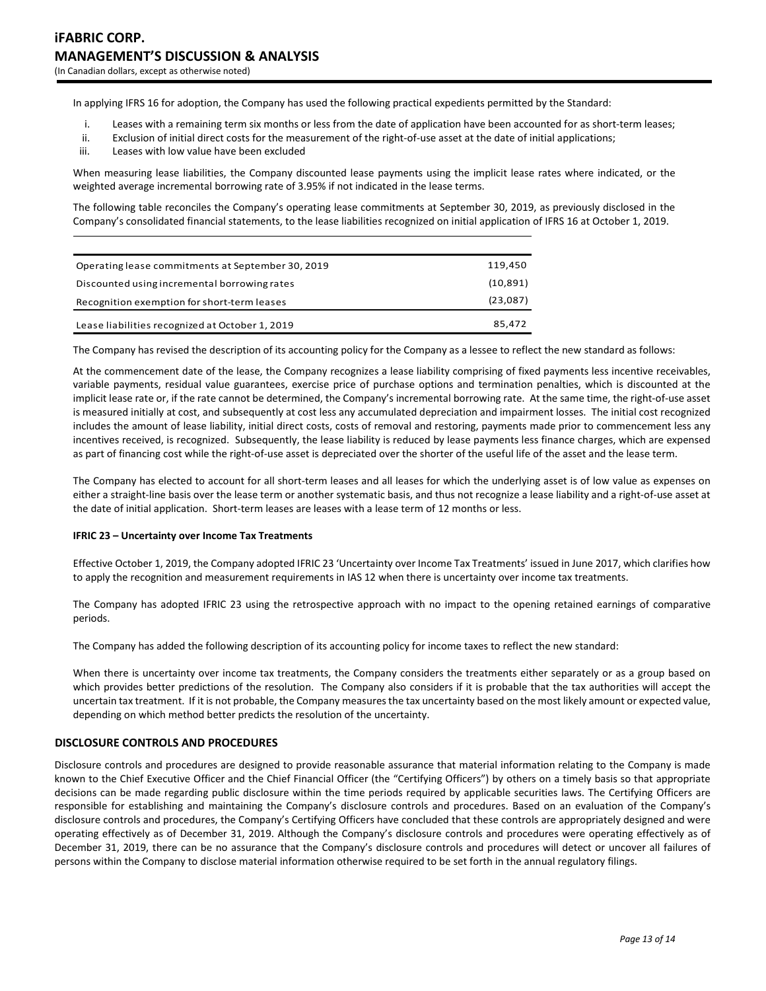In applying IFRS 16 for adoption, the Company has used the following practical expedients permitted by the Standard:

- i. Leases with a remaining term six months or less from the date of application have been accounted for as short-term leases;
- ii. Exclusion of initial direct costs for the measurement of the right-of-use asset at the date of initial applications;
- iii. Leases with low value have been excluded

When measuring lease liabilities, the Company discounted lease payments using the implicit lease rates where indicated, or the weighted average incremental borrowing rate of 3.95% if not indicated in the lease terms.

The following table reconciles the Company's operating lease commitments at September 30, 2019, as previously disclosed in the Company's consolidated financial statements, to the lease liabilities recognized on initial application of IFRS 16 at October 1, 2019.

| Operating lease commitments at September 30, 2019 | 119,450   |
|---------------------------------------------------|-----------|
| Discounted using incremental borrowing rates      | (10, 891) |
| Recognition exemption for short-term leases       |           |
| Lease liabilities recognized at October 1, 2019   | 85,472    |

The Company has revised the description of its accounting policy for the Company as a lessee to reflect the new standard as follows:

At the commencement date of the lease, the Company recognizes a lease liability comprising of fixed payments less incentive receivables, variable payments, residual value guarantees, exercise price of purchase options and termination penalties, which is discounted at the implicit lease rate or, if the rate cannot be determined, the Company's incremental borrowing rate. At the same time, the right-of-use asset is measured initially at cost, and subsequently at cost less any accumulated depreciation and impairment losses. The initial cost recognized includes the amount of lease liability, initial direct costs, costs of removal and restoring, payments made prior to commencement less any incentives received, is recognized. Subsequently, the lease liability is reduced by lease payments less finance charges, which are expensed as part of financing cost while the right-of-use asset is depreciated over the shorter of the useful life of the asset and the lease term.

The Company has elected to account for all short-term leases and all leases for which the underlying asset is of low value as expenses on either a straight-line basis over the lease term or another systematic basis, and thus not recognize a lease liability and a right-of-use asset at the date of initial application. Short-term leases are leases with a lease term of 12 months or less.

#### **IFRIC 23 – Uncertainty over Income Tax Treatments**

Effective October 1, 2019, the Company adopted IFRIC 23 'Uncertainty over Income Tax Treatments' issued in June 2017, which clarifies how to apply the recognition and measurement requirements in IAS 12 when there is uncertainty over income tax treatments.

The Company has adopted IFRIC 23 using the retrospective approach with no impact to the opening retained earnings of comparative periods.

The Company has added the following description of its accounting policy for income taxes to reflect the new standard:

When there is uncertainty over income tax treatments, the Company considers the treatments either separately or as a group based on which provides better predictions of the resolution. The Company also considers if it is probable that the tax authorities will accept the uncertain tax treatment. If it is not probable, the Company measures the tax uncertainty based on the most likely amount or expected value, depending on which method better predicts the resolution of the uncertainty.

### **DISCLOSURE CONTROLS AND PROCEDURES**

Disclosure controls and procedures are designed to provide reasonable assurance that material information relating to the Company is made known to the Chief Executive Officer and the Chief Financial Officer (the "Certifying Officers") by others on a timely basis so that appropriate decisions can be made regarding public disclosure within the time periods required by applicable securities laws. The Certifying Officers are responsible for establishing and maintaining the Company's disclosure controls and procedures. Based on an evaluation of the Company's disclosure controls and procedures, the Company's Certifying Officers have concluded that these controls are appropriately designed and were operating effectively as of December 31, 2019. Although the Company's disclosure controls and procedures were operating effectively as of December 31, 2019, there can be no assurance that the Company's disclosure controls and procedures will detect or uncover all failures of persons within the Company to disclose material information otherwise required to be set forth in the annual regulatory filings.